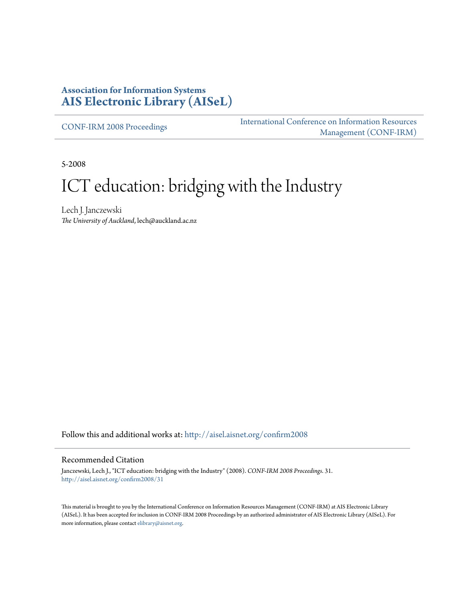## **Association for Information Systems [AIS Electronic Library \(AISeL\)](http://aisel.aisnet.org?utm_source=aisel.aisnet.org%2Fconfirm2008%2F31&utm_medium=PDF&utm_campaign=PDFCoverPages)**

[CONF-IRM 2008 Proceedings](http://aisel.aisnet.org/confirm2008?utm_source=aisel.aisnet.org%2Fconfirm2008%2F31&utm_medium=PDF&utm_campaign=PDFCoverPages)

[International Conference on Information Resources](http://aisel.aisnet.org/conf-irm?utm_source=aisel.aisnet.org%2Fconfirm2008%2F31&utm_medium=PDF&utm_campaign=PDFCoverPages) [Management \(CONF-IRM\)](http://aisel.aisnet.org/conf-irm?utm_source=aisel.aisnet.org%2Fconfirm2008%2F31&utm_medium=PDF&utm_campaign=PDFCoverPages)

5-2008

# ICT education: bridging with the Industry

Lech J. Janczewski *The University of Auckland*, lech@auckland.ac.nz

Follow this and additional works at: [http://aisel.aisnet.org/confirm2008](http://aisel.aisnet.org/confirm2008?utm_source=aisel.aisnet.org%2Fconfirm2008%2F31&utm_medium=PDF&utm_campaign=PDFCoverPages)

#### Recommended Citation

Janczewski, Lech J., "ICT education: bridging with the Industry" (2008). *CONF-IRM 2008 Proceedings*. 31. [http://aisel.aisnet.org/confirm2008/31](http://aisel.aisnet.org/confirm2008/31?utm_source=aisel.aisnet.org%2Fconfirm2008%2F31&utm_medium=PDF&utm_campaign=PDFCoverPages)

This material is brought to you by the International Conference on Information Resources Management (CONF-IRM) at AIS Electronic Library (AISeL). It has been accepted for inclusion in CONF-IRM 2008 Proceedings by an authorized administrator of AIS Electronic Library (AISeL). For more information, please contact [elibrary@aisnet.org.](mailto:elibrary@aisnet.org%3E)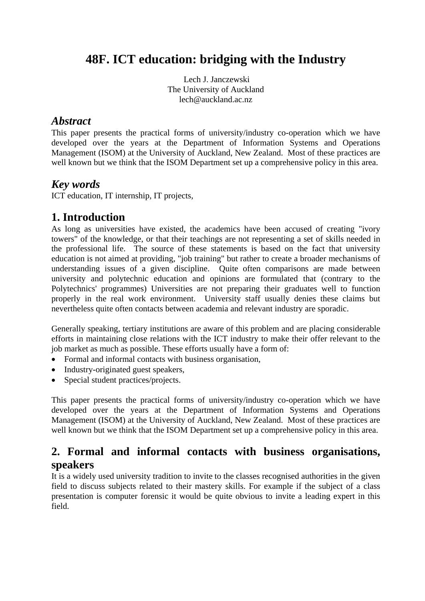# **48F. ICT education: bridging with the Industry**

Lech J. Janczewski The University of Auckland lech@auckland.ac.nz

## *Abstract*

This paper presents the practical forms of university/industry co-operation which we have developed over the years at the Department of Information Systems and Operations Management (ISOM) at the University of Auckland, New Zealand. Most of these practices are well known but we think that the ISOM Department set up a comprehensive policy in this area.

# *Key words*

ICT education, IT internship, IT projects,

## **1. Introduction**

As long as universities have existed, the academics have been accused of creating "ivory towers" of the knowledge, or that their teachings are not representing a set of skills needed in the professional life. The source of these statements is based on the fact that university education is not aimed at providing, "job training" but rather to create a broader mechanisms of understanding issues of a given discipline. Quite often comparisons are made between university and polytechnic education and opinions are formulated that (contrary to the Polytechnics' programmes) Universities are not preparing their graduates well to function properly in the real work environment. University staff usually denies these claims but nevertheless quite often contacts between academia and relevant industry are sporadic.

Generally speaking, tertiary institutions are aware of this problem and are placing considerable efforts in maintaining close relations with the ICT industry to make their offer relevant to the job market as much as possible. These efforts usually have a form of:

- Formal and informal contacts with business organisation,
- Industry-originated guest speakers,
- Special student practices/projects.

This paper presents the practical forms of university/industry co-operation which we have developed over the years at the Department of Information Systems and Operations Management (ISOM) at the University of Auckland, New Zealand. Most of these practices are well known but we think that the ISOM Department set up a comprehensive policy in this area.

# **2. Formal and informal contacts with business organisations, speakers**

It is a widely used university tradition to invite to the classes recognised authorities in the given field to discuss subjects related to their mastery skills. For example if the subject of a class presentation is computer forensic it would be quite obvious to invite a leading expert in this field.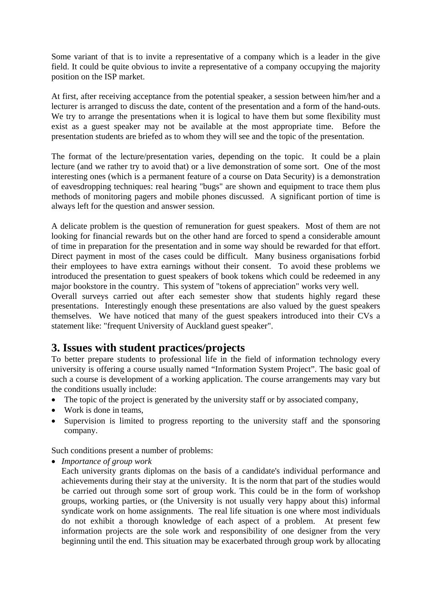Some variant of that is to invite a representative of a company which is a leader in the give field. It could be quite obvious to invite a representative of a company occupying the majority position on the ISP market.

At first, after receiving acceptance from the potential speaker, a session between him/her and a lecturer is arranged to discuss the date, content of the presentation and a form of the hand-outs. We try to arrange the presentations when it is logical to have them but some flexibility must exist as a guest speaker may not be available at the most appropriate time. Before the presentation students are briefed as to whom they will see and the topic of the presentation.

The format of the lecture/presentation varies, depending on the topic. It could be a plain lecture (and we rather try to avoid that) or a live demonstration of some sort. One of the most interesting ones (which is a permanent feature of a course on Data Security) is a demonstration of eavesdropping techniques: real hearing "bugs" are shown and equipment to trace them plus methods of monitoring pagers and mobile phones discussed. A significant portion of time is always left for the question and answer session.

A delicate problem is the question of remuneration for guest speakers. Most of them are not looking for financial rewards but on the other hand are forced to spend a considerable amount of time in preparation for the presentation and in some way should be rewarded for that effort. Direct payment in most of the cases could be difficult. Many business organisations forbid their employees to have extra earnings without their consent. To avoid these problems we introduced the presentation to guest speakers of book tokens which could be redeemed in any major bookstore in the country. This system of "tokens of appreciation" works very well.

Overall surveys carried out after each semester show that students highly regard these presentations. Interestingly enough these presentations are also valued by the guest speakers themselves. We have noticed that many of the guest speakers introduced into their CVs a statement like: "frequent University of Auckland guest speaker".

## **3. Issues with student practices/projects**

To better prepare students to professional life in the field of information technology every university is offering a course usually named "Information System Project". The basic goal of such a course is development of a working application. The course arrangements may vary but the conditions usually include:

- The topic of the project is generated by the university staff or by associated company,
- Work is done in teams,
- Supervision is limited to progress reporting to the university staff and the sponsoring company.

Such conditions present a number of problems:

• *Importance of group work* 

Each university grants diplomas on the basis of a candidate's individual performance and achievements during their stay at the university. It is the norm that part of the studies would be carried out through some sort of group work. This could be in the form of workshop groups, working parties, or (the University is not usually very happy about this) informal syndicate work on home assignments. The real life situation is one where most individuals do not exhibit a thorough knowledge of each aspect of a problem. At present few information projects are the sole work and responsibility of one designer from the very beginning until the end. This situation may be exacerbated through group work by allocating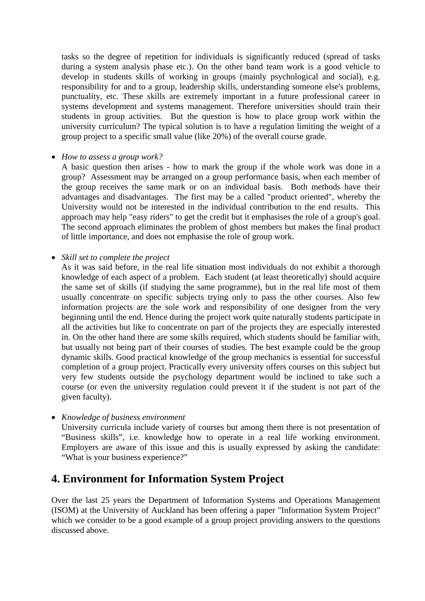tasks so the degree of repetition for individuals is significantly reduced (spread of tasks during a system analysis phase etc.). On the other band team work is a good vehicle to develop in students skills of working in groups (mainly psychological and social), e.g. responsibility for and to a group, leadership skills, understanding someone else's problems, punctuality, etc. These skills are extremely important in a future professional career in systems development and systems management. Therefore universities should train their students in group activities. But the question is how to place group work within the university curriculum? The typical solution is to have a regulation limiting the weight of a group project to a specific small value (like 20%) of the overall course grade.

• *How to assess a group work?* 

A basic question then arises - how to mark the group if the whole work was done in a group? Assessment may be arranged on a group performance basis, when each member of the group receives the same mark or on an individual basis. Both methods have their advantages and disadvantages. The first may be a called "product oriented", whereby the University would not be interested in the individual contribution to the end results. This approach may help "easy riders" to get the credit but it emphasises the role of a group's goal. The second approach eliminates the problem of ghost members but makes the final product of little importance, and does not emphasise the role of group work.

• *Skill set to complete the project* 

As it was said before, in the real life situation most individuals do not exhibit a thorough knowledge of each aspect of a problem. Each student (at least theoretically) should acquire the same set of skills (if studying the same programme), but in the real life most of them usually concentrate on specific subjects trying only to pass the other courses. Also few information projects are the sole work and responsibility of one designer from the very beginning until the end. Hence during the project work quite naturally students participate in all the activities but like to concentrate on part of the projects they are especially interested in. On the other hand there are some skills required, which students should be familiar with, but usually not being part of their courses of studies. The best example could be the group dynamic skills. Good practical knowledge of the group mechanics is essential for successful completion of a group project. Practically every university offers courses on this subject but very few students outside the psychology department would be inclined to take such a course (or even the university regulation could prevent it if the student is not part of the given faculty).

• *Knowledge of business environment* 

University curricula include variety of courses but among them there is not presentation of "Business skills", i.e. knowledge how to operate in a real life working environment. Employers are aware of this issue and this is usually expressed by asking the candidate: "What is your business experience?"

## **4. Environment for Information System Project**

Over the last 25 years the Department of Information Systems and Operations Management (ISOM) at the University of Auckland has been offering a paper "Information System Project" which we consider to be a good example of a group project providing answers to the questions discussed above.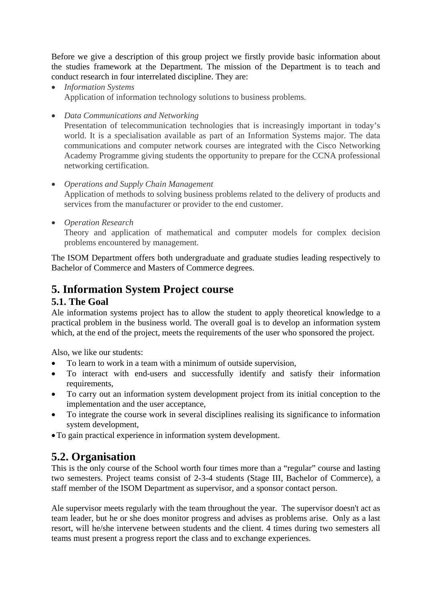Before we give a description of this group project we firstly provide basic information about the studies framework at the Department. The mission of the Department is to teach and conduct research in four interrelated discipline. They are:

- *Information Systems* Application of information technology solutions to business problems.
- *Data Communications and Networking*

Presentation of telecommunication technologies that is increasingly important in today's world. It is a specialisation available as part of an Information Systems major. The data communications and computer network courses are integrated with the Cisco Networking Academy Programme giving students the opportunity to prepare for the CCNA professional networking certification.

#### • *Operations and Supply Chain Management* Application of methods to solving business problems related to the delivery of products and services from the manufacturer or provider to the end customer.

• *Operation Research* 

Theory and application of mathematical and computer models for complex decision problems encountered by management.

The ISOM Department offers both undergraduate and graduate studies leading respectively to Bachelor of Commerce and Masters of Commerce degrees.

# **5. Information System Project course**

## **5.1. The Goal**

Ale information systems project has to allow the student to apply theoretical knowledge to a practical problem in the business world. The overall goal is to develop an information system which, at the end of the project, meets the requirements of the user who sponsored the project.

Also, we like our students:

- To learn to work in a team with a minimum of outside supervision,
- To interact with end-users and successfully identify and satisfy their information requirements,
- To carry out an information system development project from its initial conception to the implementation and the user acceptance,
- To integrate the course work in several disciplines realising its significance to information system development,
- •To gain practical experience in information system development.

# **5.2. Organisation**

This is the only course of the School worth four times more than a "regular" course and lasting two semesters. Project teams consist of 2-3-4 students (Stage III, Bachelor of Commerce), a staff member of the ISOM Department as supervisor, and a sponsor contact person.

Ale supervisor meets regularly with the team throughout the year. The supervisor doesn't act as team leader, but he or she does monitor progress and advises as problems arise. Only as a last resort, will he/she intervene between students and the client. 4 times during two semesters all teams must present a progress report the class and to exchange experiences.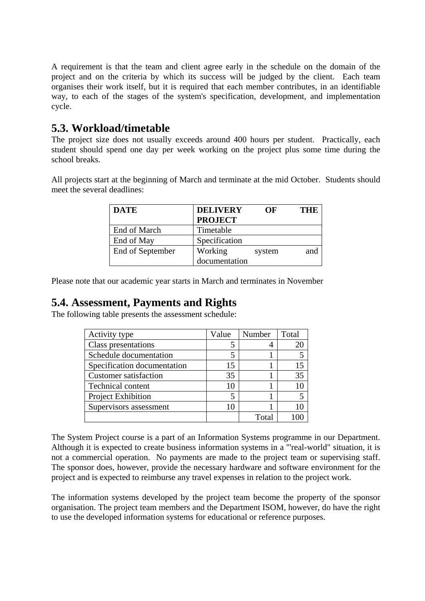A requirement is that the team and client agree early in the schedule on the domain of the project and on the criteria by which its success will be judged by the client. Each team organises their work itself, but it is required that each member contributes, in an identifiable way, to each of the stages of the system's specification, development, and implementation cycle.

## **5.3. Workload/timetable**

The project size does not usually exceeds around 400 hours per student. Practically, each student should spend one day per week working on the project plus some time during the school breaks.

All projects start at the beginning of March and terminate at the mid October. Students should meet the several deadlines:

| <b>DATE</b>      | <b>DELIVERY</b> | OF     | THE. |
|------------------|-----------------|--------|------|
|                  | <b>PROJECT</b>  |        |      |
| End of March     | Timetable       |        |      |
| End of May       | Specification   |        |      |
| End of September | Working         | system | and  |
|                  | documentation   |        |      |

Please note that our academic year starts in March and terminates in November

## **5.4. Assessment, Payments and Rights**

The following table presents the assessment schedule:

| Activity type                | Value | Number | Total |
|------------------------------|-------|--------|-------|
| Class presentations          |       |        | 20    |
| Schedule documentation       |       |        |       |
| Specification documentation  | 15    |        |       |
| <b>Customer satisfaction</b> | 35    |        | 35    |
| <b>Technical content</b>     | 10    |        |       |
| Project Exhibition           |       |        |       |
| Supervisors assessment       | 10    |        |       |
|                              |       | Total  |       |

The System Project course is a part of an Information Systems programme in our Department. Although it is expected to create business information systems in a "'real-world" situation, it is not a commercial operation. No payments are made to the project team or supervising staff. The sponsor does, however, provide the necessary hardware and software environment for the project and is expected to reimburse any travel expenses in relation to the project work.

The information systems developed by the project team become the property of the sponsor organisation. The project team members and the Department ISOM, however, do have the right to use the developed information systems for educational or reference purposes.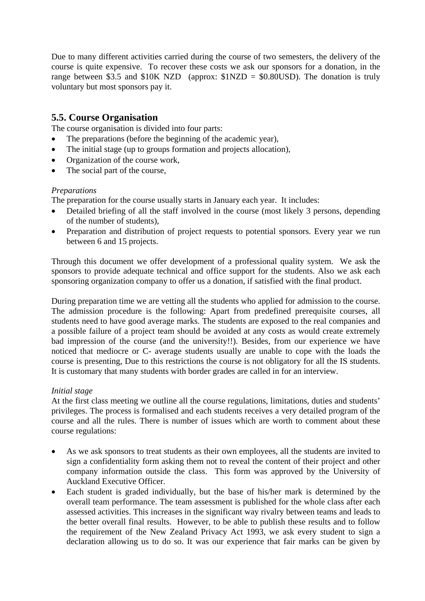Due to many different activities carried during the course of two semesters, the delivery of the course is quite expensive. To recover these costs we ask our sponsors for a donation, in the range between \$3.5 and \$10K NZD (approx:  $$1$ NZD = \$0.80USD). The donation is truly voluntary but most sponsors pay it.

## **5.5. Course Organisation**

The course organisation is divided into four parts:

- The preparations (before the beginning of the academic year),
- The initial stage (up to groups formation and projects allocation),
- Organization of the course work,
- The social part of the course,

#### *Preparations*

The preparation for the course usually starts in January each year. It includes:

- Detailed briefing of all the staff involved in the course (most likely 3 persons, depending of the number of students),
- Preparation and distribution of project requests to potential sponsors. Every year we run between 6 and 15 projects.

Through this document we offer development of a professional quality system. We ask the sponsors to provide adequate technical and office support for the students. Also we ask each sponsoring organization company to offer us a donation, if satisfied with the final product.

During preparation time we are vetting all the students who applied for admission to the course. The admission procedure is the following: Apart from predefined prerequisite courses, all students need to have good average marks. The students are exposed to the real companies and a possible failure of a project team should be avoided at any costs as would create extremely bad impression of the course (and the university!!). Besides, from our experience we have noticed that mediocre or C- average students usually are unable to cope with the loads the course is presenting, Due to this restrictions the course is not obligatory for all the IS students. It is customary that many students with border grades are called in for an interview.

#### *Initial stage*

At the first class meeting we outline all the course regulations, limitations, duties and students' privileges. The process is formalised and each students receives a very detailed program of the course and all the rules. There is number of issues which are worth to comment about these course regulations:

- As we ask sponsors to treat students as their own employees, all the students are invited to sign a confidentiality form asking them not to reveal the content of their project and other company information outside the class. This form was approved by the University of Auckland Executive Officer.
- Each student is graded individually, but the base of his/her mark is determined by the overall team performance. The team assessment is published for the whole class after each assessed activities. This increases in the significant way rivalry between teams and leads to the better overall final results. However, to be able to publish these results and to follow the requirement of the New Zealand Privacy Act 1993, we ask every student to sign a declaration allowing us to do so. It was our experience that fair marks can be given by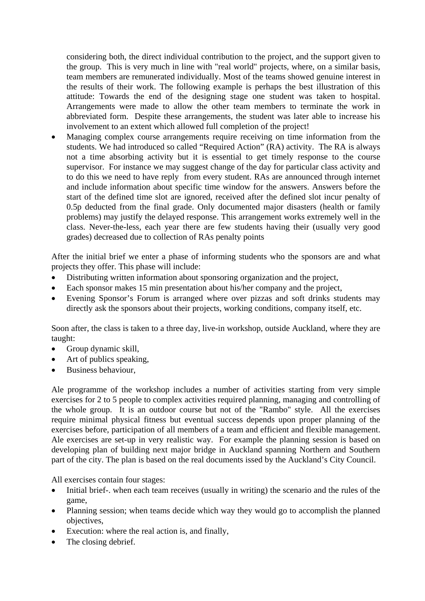considering both, the direct individual contribution to the project, and the support given to the group. This is very much in line with "real world" projects, where, on a similar basis, team members are remunerated individually. Most of the teams showed genuine interest in the results of their work. The following example is perhaps the best illustration of this attitude: Towards the end of the designing stage one student was taken to hospital. Arrangements were made to allow the other team members to terminate the work in abbreviated form. Despite these arrangements, the student was later able to increase his involvement to an extent which allowed full completion of the project!

• Managing complex course arrangements require receiving on time information from the students. We had introduced so called "Required Action" (RA) activity. The RA is always not a time absorbing activity but it is essential to get timely response to the course supervisor. For instance we may suggest change of the day for particular class activity and to do this we need to have reply from every student. RAs are announced through internet and include information about specific time window for the answers. Answers before the start of the defined time slot are ignored, received after the defined slot incur penalty of 0.5p deducted from the final grade. Only documented major disasters (health or family problems) may justify the delayed response. This arrangement works extremely well in the class. Never-the-less, each year there are few students having their (usually very good grades) decreased due to collection of RAs penalty points

After the initial brief we enter a phase of informing students who the sponsors are and what projects they offer. This phase will include:

- Distributing written information about sponsoring organization and the project,
- Each sponsor makes 15 min presentation about his/her company and the project,
- Evening Sponsor's Forum is arranged where over pizzas and soft drinks students may directly ask the sponsors about their projects, working conditions, company itself, etc.

Soon after, the class is taken to a three day, live-in workshop, outside Auckland, where they are taught:

- Group dynamic skill,
- Art of publics speaking,
- Business behaviour,

Ale programme of the workshop includes a number of activities starting from very simple exercises for 2 to 5 people to complex activities required planning, managing and controlling of the whole group. It is an outdoor course but not of the "Rambo" style. All the exercises require minimal physical fitness but eventual success depends upon proper planning of the exercises before, participation of all members of a team and efficient and flexible management. Ale exercises are set-up in very realistic way. For example the planning session is based on developing plan of building next major bridge in Auckland spanning Northern and Southern part of the city. The plan is based on the real documents issed by the Auckland's City Council.

All exercises contain four stages:

- Initial brief-. when each team receives (usually in writing) the scenario and the rules of the game,
- Planning session; when teams decide which way they would go to accomplish the planned objectives,
- Execution: where the real action is, and finally,
- The closing debrief.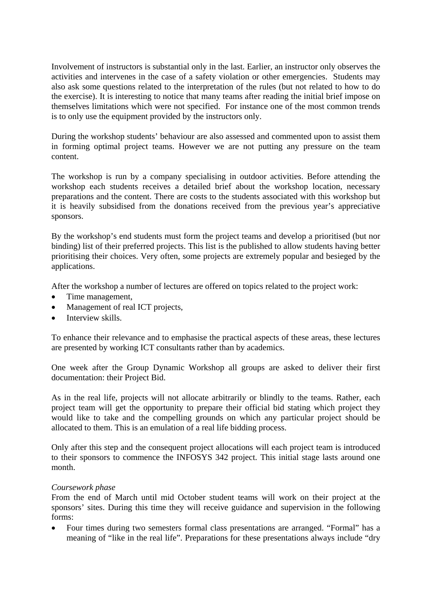Involvement of instructors is substantial only in the last. Earlier, an instructor only observes the activities and intervenes in the case of a safety violation or other emergencies. Students may also ask some questions related to the interpretation of the rules (but not related to how to do the exercise). It is interesting to notice that many teams after reading the initial brief impose on themselves limitations which were not specified. For instance one of the most common trends is to only use the equipment provided by the instructors only.

During the workshop students' behaviour are also assessed and commented upon to assist them in forming optimal project teams. However we are not putting any pressure on the team content.

The workshop is run by a company specialising in outdoor activities. Before attending the workshop each students receives a detailed brief about the workshop location, necessary preparations and the content. There are costs to the students associated with this workshop but it is heavily subsidised from the donations received from the previous year's appreciative sponsors.

By the workshop's end students must form the project teams and develop a prioritised (but nor binding) list of their preferred projects. This list is the published to allow students having better prioritising their choices. Very often, some projects are extremely popular and besieged by the applications.

After the workshop a number of lectures are offered on topics related to the project work:

- Time management,
- Management of real ICT projects,
- Interview skills.

To enhance their relevance and to emphasise the practical aspects of these areas, these lectures are presented by working ICT consultants rather than by academics.

One week after the Group Dynamic Workshop all groups are asked to deliver their first documentation: their Project Bid.

As in the real life, projects will not allocate arbitrarily or blindly to the teams. Rather, each project team will get the opportunity to prepare their official bid stating which project they would like to take and the compelling grounds on which any particular project should be allocated to them. This is an emulation of a real life bidding process.

Only after this step and the consequent project allocations will each project team is introduced to their sponsors to commence the INFOSYS 342 project. This initial stage lasts around one month.

#### *Coursework phase*

From the end of March until mid October student teams will work on their project at the sponsors' sites. During this time they will receive guidance and supervision in the following forms:

• Four times during two semesters formal class presentations are arranged. "Formal" has a meaning of "like in the real life". Preparations for these presentations always include "dry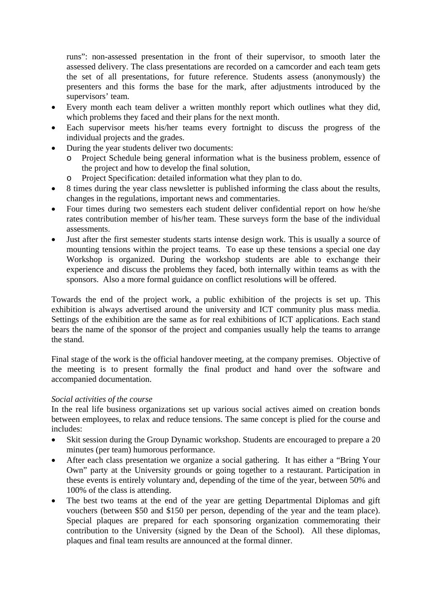runs": non-assessed presentation in the front of their supervisor, to smooth later the assessed delivery. The class presentations are recorded on a camcorder and each team gets the set of all presentations, for future reference. Students assess (anonymously) the presenters and this forms the base for the mark, after adjustments introduced by the supervisors' team.

- Every month each team deliver a written monthly report which outlines what they did, which problems they faced and their plans for the next month.
- Each supervisor meets his/her teams every fortnight to discuss the progress of the individual projects and the grades.
- During the year students deliver two documents:
	- o Project Schedule being general information what is the business problem, essence of the project and how to develop the final solution,
	- o Project Specification: detailed information what they plan to do.
- 8 times during the year class newsletter is published informing the class about the results, changes in the regulations, important news and commentaries.
- Four times during two semesters each student deliver confidential report on how he/she rates contribution member of his/her team. These surveys form the base of the individual assessments.
- Just after the first semester students starts intense design work. This is usually a source of mounting tensions within the project teams. To ease up these tensions a special one day Workshop is organized. During the workshop students are able to exchange their experience and discuss the problems they faced, both internally within teams as with the sponsors. Also a more formal guidance on conflict resolutions will be offered.

Towards the end of the project work, a public exhibition of the projects is set up. This exhibition is always advertised around the university and ICT community plus mass media. Settings of the exhibition are the same as for real exhibitions of ICT applications. Each stand bears the name of the sponsor of the project and companies usually help the teams to arrange the stand.

Final stage of the work is the official handover meeting, at the company premises. Objective of the meeting is to present formally the final product and hand over the software and accompanied documentation.

#### *Social activities of the course*

In the real life business organizations set up various social actives aimed on creation bonds between employees, to relax and reduce tensions. The same concept is plied for the course and includes:

- Skit session during the Group Dynamic workshop. Students are encouraged to prepare a 20 minutes (per team) humorous performance.
- After each class presentation we organize a social gathering. It has either a "Bring Your" Own" party at the University grounds or going together to a restaurant. Participation in these events is entirely voluntary and, depending of the time of the year, between 50% and 100% of the class is attending.
- The best two teams at the end of the year are getting Departmental Diplomas and gift vouchers (between \$50 and \$150 per person, depending of the year and the team place). Special plaques are prepared for each sponsoring organization commemorating their contribution to the University (signed by the Dean of the School). All these diplomas, plaques and final team results are announced at the formal dinner.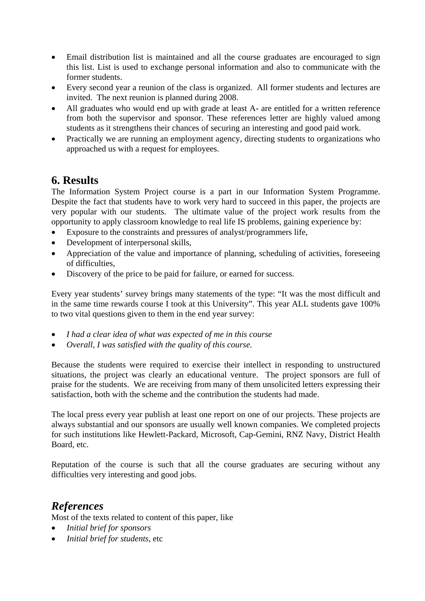- Email distribution list is maintained and all the course graduates are encouraged to sign this list. List is used to exchange personal information and also to communicate with the former students.
- Every second year a reunion of the class is organized. All former students and lectures are invited. The next reunion is planned during 2008.
- All graduates who would end up with grade at least A- are entitled for a written reference from both the supervisor and sponsor. These references letter are highly valued among students as it strengthens their chances of securing an interesting and good paid work.
- Practically we are running an employment agency, directing students to organizations who approached us with a request for employees.

## **6. Results**

The Information System Project course is a part in our Information System Programme. Despite the fact that students have to work very hard to succeed in this paper, the projects are very popular with our students. The ultimate value of the project work results from the opportunity to apply classroom knowledge to real life IS problems, gaining experience by:

- Exposure to the constraints and pressures of analyst/programmers life,
- Development of interpersonal skills,
- Appreciation of the value and importance of planning, scheduling of activities, foreseeing of difficulties,
- Discovery of the price to be paid for failure, or earned for success.

Every year students' survey brings many statements of the type: "It was the most difficult and in the same time rewards course I took at this University". This year ALL students gave 100% to two vital questions given to them in the end year survey:

- *I had a clear idea of what was expected of me in this course*
- *Overall, I was satisfied with the quality of this course.*

Because the students were required to exercise their intellect in responding to unstructured situations, the project was clearly an educational venture. The project sponsors are full of praise for the students. We are receiving from many of them unsolicited letters expressing their satisfaction, both with the scheme and the contribution the students had made.

The local press every year publish at least one report on one of our projects. These projects are always substantial and our sponsors are usually well known companies. We completed projects for such institutions like Hewlett-Packard, Microsoft, Cap-Gemini, RNZ Navy, District Health Board, etc.

Reputation of the course is such that all the course graduates are securing without any difficulties very interesting and good jobs.

## *References*

Most of the texts related to content of this paper, like

- *Initial brief for sponsors*
- *Initial brief for students*, etc